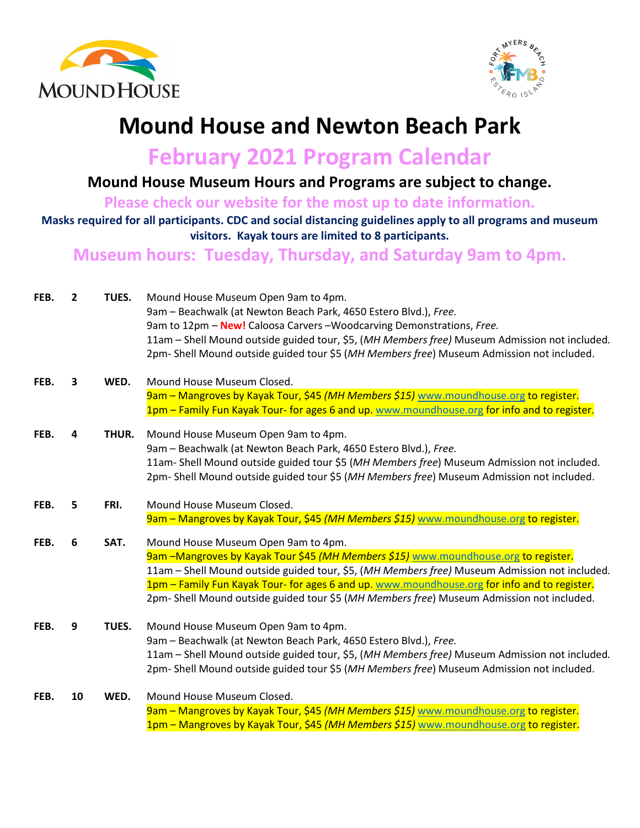



## **Mound House and Newton Beach Park**

**February 2021 Program Calendar**

**Mound House Museum Hours and Programs are subject to change.** 

**Please check our website for the most up to date information.**

**Masks required for all participants. CDC and social distancing guidelines apply to all programs and museum visitors. Kayak tours are limited to 8 participants.** 

**Museum hours: Tuesday, Thursday, and Saturday 9am to 4pm.** 

| FEB. | $\overline{2}$ | TUES. | Mound House Museum Open 9am to 4pm.<br>9am - Beachwalk (at Newton Beach Park, 4650 Estero Blvd.), Free. |
|------|----------------|-------|---------------------------------------------------------------------------------------------------------|
|      |                |       | 9am to 12pm - New! Caloosa Carvers - Woodcarving Demonstrations, Free.                                  |
|      |                |       | 11am - Shell Mound outside guided tour, \$5, (MH Members free) Museum Admission not included.           |
|      |                |       | 2pm- Shell Mound outside guided tour \$5 (MH Members free) Museum Admission not included.               |
| FEB. | 3              | WED.  | Mound House Museum Closed.                                                                              |
|      |                |       | 9am - Mangroves by Kayak Tour, \$45 (MH Members \$15) www.moundhouse.org to register.                   |
|      |                |       | 1pm – Family Fun Kayak Tour- for ages 6 and up. www.moundhouse.org for info and to register.            |
| FEB. | 4              | THUR. | Mound House Museum Open 9am to 4pm.                                                                     |
|      |                |       | 9am - Beachwalk (at Newton Beach Park, 4650 Estero Blvd.), Free.                                        |
|      |                |       | 11am- Shell Mound outside guided tour \$5 (MH Members free) Museum Admission not included.              |
|      |                |       | 2pm- Shell Mound outside guided tour \$5 (MH Members free) Museum Admission not included.               |
| FEB. | 5              | FRI.  | Mound House Museum Closed.                                                                              |
|      |                |       | 9am - Mangroves by Kayak Tour, \$45 (MH Members \$15) www.moundhouse.org to register.                   |
| FEB. | 6              | SAT.  | Mound House Museum Open 9am to 4pm.                                                                     |
|      |                |       | 9am - Mangroves by Kayak Tour \$45 (MH Members \$15) www.moundhouse.org to register.                    |
|      |                |       | 11am - Shell Mound outside guided tour, \$5, (MH Members free) Museum Admission not included.           |
|      |                |       | 1pm - Family Fun Kayak Tour- for ages 6 and up. www.moundhouse.org for info and to register.            |
|      |                |       | 2pm- Shell Mound outside guided tour \$5 (MH Members free) Museum Admission not included.               |
| FEB. | 9              | TUES. | Mound House Museum Open 9am to 4pm.                                                                     |
|      |                |       | 9am - Beachwalk (at Newton Beach Park, 4650 Estero Blvd.), Free.                                        |
|      |                |       | 11am - Shell Mound outside guided tour, \$5, (MH Members free) Museum Admission not included.           |
|      |                |       | 2pm- Shell Mound outside guided tour \$5 (MH Members free) Museum Admission not included.               |
| FEB. | 10             | WED.  | Mound House Museum Closed.                                                                              |
|      |                |       | 9am - Mangroves by Kayak Tour, \$45 (MH Members \$15) www.moundhouse.org to register.                   |
|      |                |       | 1pm - Mangroves by Kayak Tour, \$45 (MH Members \$15) www.moundhouse.org to register.                   |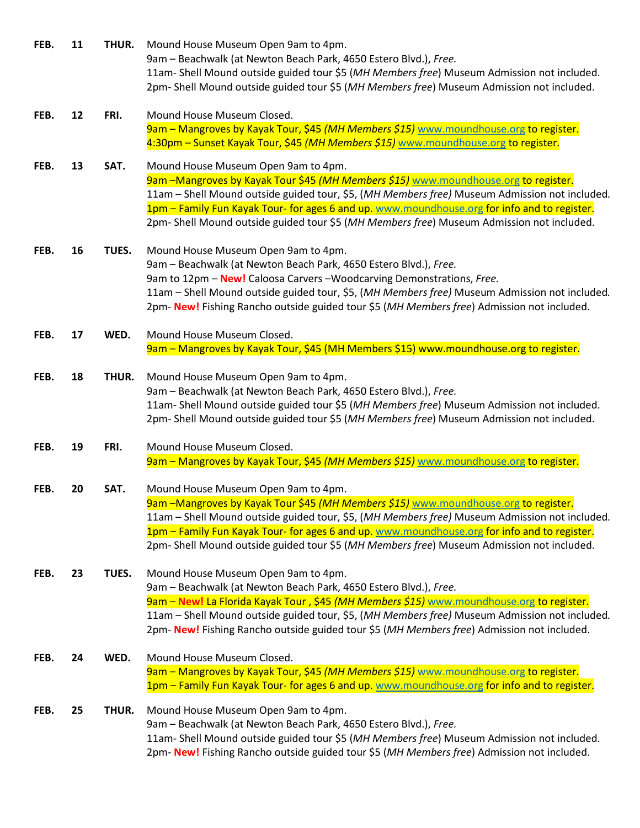| FEB. | 11 | THUR. | Mound House Museum Open 9am to 4pm.<br>9am - Beachwalk (at Newton Beach Park, 4650 Estero Blvd.), Free.<br>11am- Shell Mound outside guided tour \$5 (MH Members free) Museum Admission not included.<br>2pm- Shell Mound outside guided tour \$5 (MH Members free) Museum Admission not included.                                                                                                                       |
|------|----|-------|--------------------------------------------------------------------------------------------------------------------------------------------------------------------------------------------------------------------------------------------------------------------------------------------------------------------------------------------------------------------------------------------------------------------------|
| FEB. | 12 | FRI.  | Mound House Museum Closed.<br>9am - Mangroves by Kayak Tour, \$45 (MH Members \$15) www.moundhouse.org to register.<br>4:30pm – Sunset Kayak Tour, \$45 (MH Members \$15) www.moundhouse.org to register.                                                                                                                                                                                                                |
| FEB. | 13 | SAT.  | Mound House Museum Open 9am to 4pm.<br>9am -Mangroves by Kayak Tour \$45 (MH Members \$15) www.moundhouse.org to register.<br>11am - Shell Mound outside guided tour, \$5, (MH Members free) Museum Admission not included.<br>1pm - Family Fun Kayak Tour- for ages 6 and up. www.moundhouse.org for info and to register.<br>2pm- Shell Mound outside guided tour \$5 (MH Members free) Museum Admission not included. |
| FEB. | 16 | TUES. | Mound House Museum Open 9am to 4pm.<br>9am - Beachwalk (at Newton Beach Park, 4650 Estero Blvd.), Free.<br>9am to 12pm - New! Caloosa Carvers - Woodcarving Demonstrations, Free.<br>11am - Shell Mound outside guided tour, \$5, (MH Members free) Museum Admission not included.<br>2pm- New! Fishing Rancho outside guided tour \$5 (MH Members free) Admission not included.                                         |
| FEB. | 17 | WED.  | Mound House Museum Closed.<br>9am - Mangroves by Kayak Tour, \$45 (MH Members \$15) www.moundhouse.org to register.                                                                                                                                                                                                                                                                                                      |
| FEB. | 18 | THUR. | Mound House Museum Open 9am to 4pm.<br>9am - Beachwalk (at Newton Beach Park, 4650 Estero Blvd.), Free.<br>11am- Shell Mound outside guided tour \$5 (MH Members free) Museum Admission not included.<br>2pm- Shell Mound outside guided tour \$5 (MH Members free) Museum Admission not included.                                                                                                                       |
| FEB. | 19 | FRI.  | Mound House Museum Closed.                                                                                                                                                                                                                                                                                                                                                                                               |
|      |    |       | 9am - Mangroves by Kayak Tour, \$45 (MH Members \$15) www.moundhouse.org to register.                                                                                                                                                                                                                                                                                                                                    |
| FEB. | 20 | SAT.  | Mound House Museum Open 9am to 4pm.<br>9am -Mangroves by Kayak Tour \$45 (MH Members \$15) www.moundhouse.org to register.<br>11am - Shell Mound outside guided tour, \$5, (MH Members free) Museum Admission not included.<br>1pm - Family Fun Kayak Tour- for ages 6 and up. www.moundhouse.org for info and to register.<br>2pm- Shell Mound outside guided tour \$5 (MH Members free) Museum Admission not included. |
| FEB. | 23 | TUES. | Mound House Museum Open 9am to 4pm.<br>9am - Beachwalk (at Newton Beach Park, 4650 Estero Blvd.), Free.<br>9am – New! La Florida Kayak Tour, \$45 (MH Members \$15) www.moundhouse.org to register.<br>11am - Shell Mound outside guided tour, \$5, (MH Members free) Museum Admission not included.<br>2pm- New! Fishing Rancho outside guided tour \$5 (MH Members free) Admission not included.                       |
| FEB. | 24 | WED.  | Mound House Museum Closed.<br>9am - Mangroves by Kayak Tour, \$45 (MH Members \$15) www.moundhouse.org to register.<br>1pm - Family Fun Kayak Tour- for ages 6 and up. www.moundhouse.org for info and to register.                                                                                                                                                                                                      |
| FEB. | 25 | THUR. | Mound House Museum Open 9am to 4pm.<br>9am - Beachwalk (at Newton Beach Park, 4650 Estero Blvd.), Free.<br>11am- Shell Mound outside guided tour \$5 (MH Members free) Museum Admission not included.<br>2pm- New! Fishing Rancho outside guided tour \$5 (MH Members free) Admission not included.                                                                                                                      |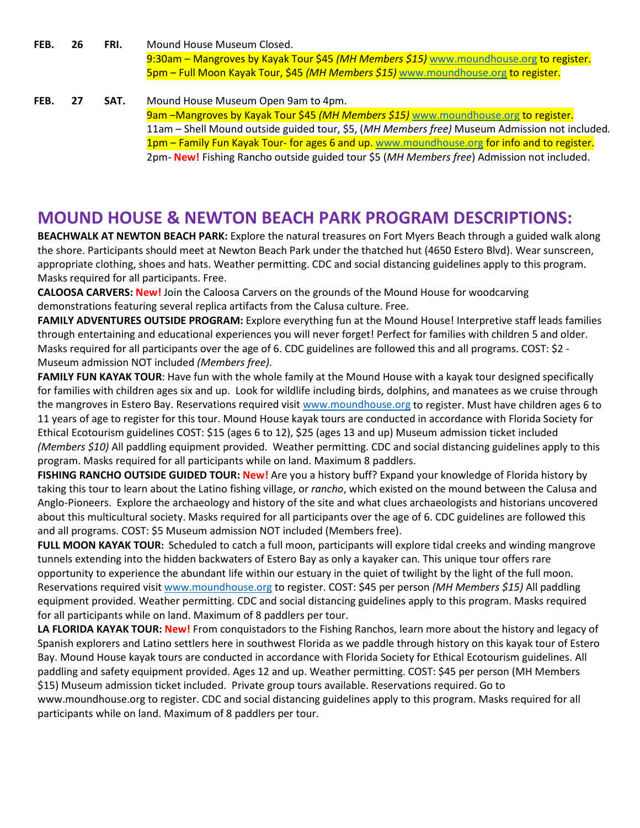**FEB. 26 FRI.** Mound House Museum Closed. 9:30am – Mangroves by Kayak Tour \$45 *(MH Members \$15)* [www.moundhouse.org](http://www.moundhouse.org/) to register. 5pm – Full Moon Kayak Tour, \$45 *(MH Members \$15)* [www.moundhouse.org](http://www.moundhouse.org/) to register.

**FEB. 27 SAT.** Mound House Museum Open 9am to 4pm. 9am –Mangroves by Kayak Tour \$45 *(MH Members \$15)* [www.moundhouse.org](http://www.moundhouse.org/) to register. 11am – Shell Mound outside guided tour, \$5, (*MH Members free)* Museum Admission not included*.* 1pm – Family Fun Kayak Tour- for ages 6 and up[. www.moundhouse.org](http://www.moundhouse.org/) for info and to register. 2pm- **New!** Fishing Rancho outside guided tour \$5 (*MH Members free*) Admission not included.

## **MOUND HOUSE & NEWTON BEACH PARK PROGRAM DESCRIPTIONS:**

**BEACHWALK AT NEWTON BEACH PARK:** Explore the natural treasures on Fort Myers Beach through a guided walk along the shore. Participants should meet at Newton Beach Park under the thatched hut (4650 Estero Blvd). Wear sunscreen, appropriate clothing, shoes and hats. Weather permitting. CDC and social distancing guidelines apply to this program. Masks required for all participants. Free.

**CALOOSA CARVERS: New!** Join the Caloosa Carvers on the grounds of the Mound House for woodcarving demonstrations featuring several replica artifacts from the Calusa culture. Free.

**FAMILY ADVENTURES OUTSIDE PROGRAM:** Explore everything fun at the Mound House! Interpretive staff leads families through entertaining and educational experiences you will never forget! Perfect for families with children 5 and older. Masks required for all participants over the age of 6. CDC guidelines are followed this and all programs. COST: \$2 - Museum admission NOT included *(Members free).*

**FAMILY FUN KAYAK TOUR**: Have fun with the whole family at the Mound House with a kayak tour designed specifically for families with children ages six and up. Look for wildlife including birds, dolphins, and manatees as we cruise through the mangroves in Estero Bay. Reservations required visit [www.moundhouse.org](http://www.moundhouse.org/) to register. Must have children ages 6 to 11 years of age to register for this tour. Mound House kayak tours are conducted in accordance with Florida Society for Ethical Ecotourism guidelines COST: \$15 (ages 6 to 12), \$25 (ages 13 and up) Museum admission ticket included *(Members \$10)* All paddling equipment provided. Weather permitting. CDC and social distancing guidelines apply to this program. Masks required for all participants while on land. Maximum 8 paddlers.

**FISHING RANCHO OUTSIDE GUIDED TOUR: New!** Are you a history buff? Expand your knowledge of Florida history by taking this tour to learn about the Latino fishing village, or *rancho*, which existed on the mound between the Calusa and Anglo-Pioneers. Explore the archaeology and history of the site and what clues archaeologists and historians uncovered about this multicultural society. Masks required for all participants over the age of 6. CDC guidelines are followed this and all programs. COST: \$5 Museum admission NOT included (Members free).

**FULL MOON KAYAK TOUR:** Scheduled to catch a full moon, participants will explore tidal creeks and winding mangrove tunnels extending into the hidden backwaters of Estero Bay as only a kayaker can. This unique tour offers rare opportunity to experience the abundant life within our estuary in the quiet of twilight by the light of the full moon. Reservations required visit [www.moundhouse.org](http://www.moundhouse.org/) to register. COST: \$45 per person *(MH Members \$15)* All paddling equipment provided. Weather permitting. CDC and social distancing guidelines apply to this program. Masks required for all participants while on land. Maximum of 8 paddlers per tour.

**LA FLORIDA KAYAK TOUR: New!** From conquistadors to the Fishing Ranchos, learn more about the history and legacy of Spanish explorers and Latino settlers here in southwest Florida as we paddle through history on this kayak tour of Estero Bay. Mound House kayak tours are conducted in accordance with Florida Society for Ethical Ecotourism guidelines. All paddling and safety equipment provided. Ages 12 and up. Weather permitting. COST: \$45 per person (MH Members \$15) Museum admission ticket included. Private group tours available. Reservations required. Go to www.moundhouse.org to register. CDC and social distancing guidelines apply to this program. Masks required for all

participants while on land. Maximum of 8 paddlers per tour.